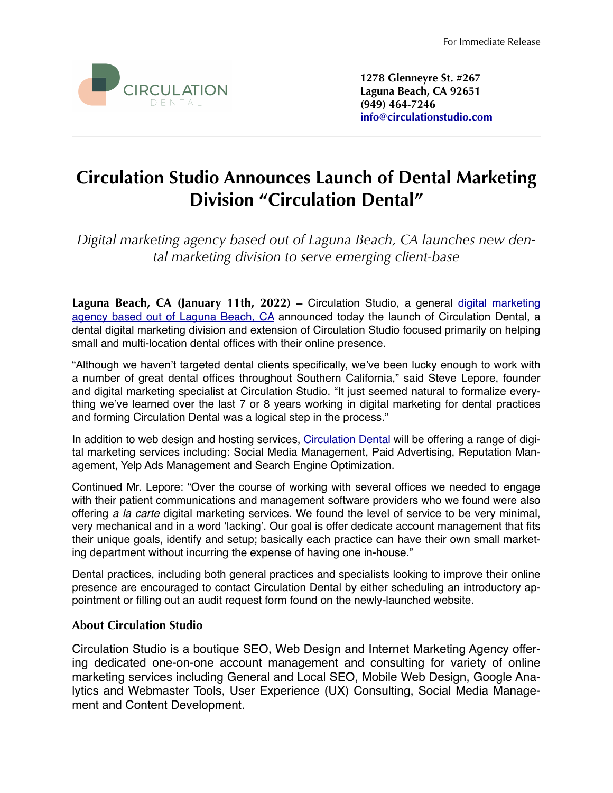

**1278 Glenneyre St. #267 Laguna Beach, CA 92651 (949) 464-7246 [info@circulationstudio.com](mailto:info@circulationstudio.com)**

# **Circulation Studio Announces Launch of Dental Marketing Division "Circulation Dental"**

*Digital marketing agency based out of Laguna Beach, CA launches new dental marketing division to serve emerging client-base*

Laguna Beach, CA (January 11th, 2022) – Circulation Studio, a general [digital marketing](https://www.circulationstudio.com) [agency based out of Laguna Beach, CA](https://www.circulationstudio.com) announced today the launch of Circulation Dental, a dental digital marketing division and extension of Circulation Studio focused primarily on helping small and multi-location dental offices with their online presence.

"Although we haven't targeted dental clients specifically, we've been lucky enough to work with a number of great dental offices throughout Southern California," said Steve Lepore, founder and digital marketing specialist at Circulation Studio. "It just seemed natural to formalize everything we've learned over the last 7 or 8 years working in digital marketing for dental practices and forming Circulation Dental was a logical step in the process."

In addition to web design and hosting services, [Circulation Dental](https://www.circulationdental.com) will be offering a range of digital marketing services including: Social Media Management, Paid Advertising, Reputation Management, Yelp Ads Management and Search Engine Optimization.

Continued Mr. Lepore: "Over the course of working with several offices we needed to engage with their patient communications and management software providers who we found were also offering *a la carte* digital marketing services. We found the level of service to be very minimal, very mechanical and in a word 'lacking'. Our goal is offer dedicate account management that fits their unique goals, identify and setup; basically each practice can have their own small marketing department without incurring the expense of having one in-house."

Dental practices, including both general practices and specialists looking to improve their online presence are encouraged to contact Circulation Dental by either scheduling an introductory appointment or filling out an audit request form found on the newly-launched website.

## **About Circulation Studio**

Circulation Studio is a boutique SEO, Web Design and Internet Marketing Agency offering dedicated one-on-one account management and consulting for variety of online marketing services including General and Local SEO, Mobile Web Design, Google Analytics and Webmaster Tools, User Experience (UX) Consulting, Social Media Management and Content Development.